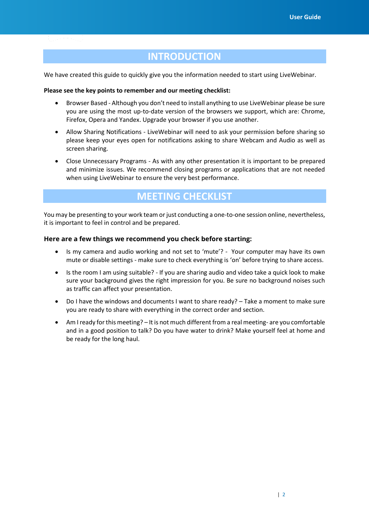# **INTRODUCTION**

We have created this guide to quickly give you the information needed to start using BroadData

#### Web Meetings. **Please see the key points to remember and our meeting checklist:**

- Browser Based Although you don't need to install anything to use BroadData Web Meetings please be sure you are using the most up-to-date version of the browsers we support, which are: Chrome, Safari, Firefox, Opera and Yandex. Upgrade your browser if you use another.
- Allow Sharing Notifications BroadData Web Meetings will need to ask your permission before sharing so please keep your eyes open for notifications asking to share Webcam and Audio as well as screen sharing.
- Close Unnecessary Programs As with any other presentation it is important to be prepared and minimize issues. We recommend closing programs or applications that are not needed when using BroadData Web Meetings to ensure the very best performance.

# **MEETING CHECKLIST**

You may be presenting to your work team or just conducting a one-to-one session online, nevertheless, it is important to feel in control and be prepared.

#### **Here are a few things we recommend you check before starting:**

- Is my camera and audio working and not set to 'mute'? Your computer may have its own mute or disable settings - make sure to check everything is 'on' before trying to share access.
- Is the room I am using suitable? If you are sharing audio and video take a quick look to make sure your background gives the right impression for you. Be sure no background noises such as traffic can affect your presentation.
- Do I have the windows and documents I want to share ready? Take a moment to make sure you are ready to share with everything in the correct order and section.
- Am I ready for this meeting? It is not much different from a real meeting- are you comfortable and in a good position to talk? Do you have water to drink? Make yourself feel at home and be ready for the long haul.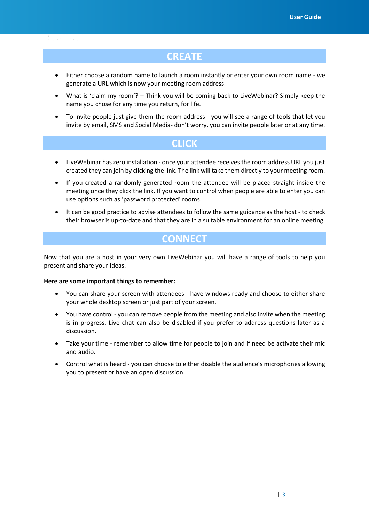### **CREATE**

- Either choose a random name to launch a room instantly or enter your own room name we generate a URL which is now your meeting room address.
- What is 'claim my room'? Think you will be coming back to BroadData Web Meetings? Simply keep the name you chose for any time you return, for life.
- To invite people just give them the room address you will see a range of tools that let you invite by email, SMS and Social Media- don't worry, you can invite people later or at any time.

### **CLICK**

- BroadData Web Meetings has zero installation - once your attendee receives the room address URL you just created they can join by clicking the link. The link will take them directly to your meeting room.
- If you created a randomly generated room the attendee will be placed straight inside the meeting once they click the link. If you want to control when people are able to enter you can use options such as 'password protected' rooms.
- It can be good practice to advise attendees to follow the same guidance as the host to check their browser is up-to-date and that they are in a suitable environment for an online meeting.

# **CONNECT**

Now that you are a host in your very own BroadData Web Meeting you will have a range of tools

to help you present and share your ideas.

#### **Here are some important things to remember:**

- You can share your screen with attendees have windows ready and choose to either share your whole desktop screen or just part of your screen.
- You have control you can remove people from the meeting and also invite when the meeting is in progress. Live chat can also be disabled if you prefer to address questions later as a discussion.
- Take your time remember to allow time for people to join and if need be activate their mic and audio.
- Control what is heard you can choose to either disable the audience's microphones allowing you to present or have an open discussion.